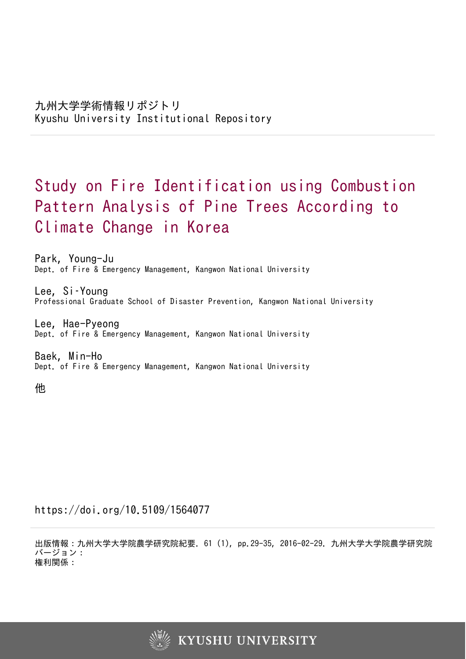# Study on Fire Identification using Combustion Pattern Analysis of Pine Trees According to Climate Change in Korea

Park, Young-Ju Dept. of Fire & Emergency Management, Kangwon National University

Lee, Si–Young Professional Graduate School of Disaster Prevention, Kangwon National University

Lee, Hae-Pyeong Dept. of Fire & Emergency Management, Kangwon National University

Baek, Min-Ho Dept. of Fire & Emergency Management, Kangwon National University

他

https://doi.org/10.5109/1564077

出版情報:九州大学大学院農学研究院紀要. 61 (1), pp.29-35, 2016-02-29. 九州大学大学院農学研究院 バージョン: 権利関係:

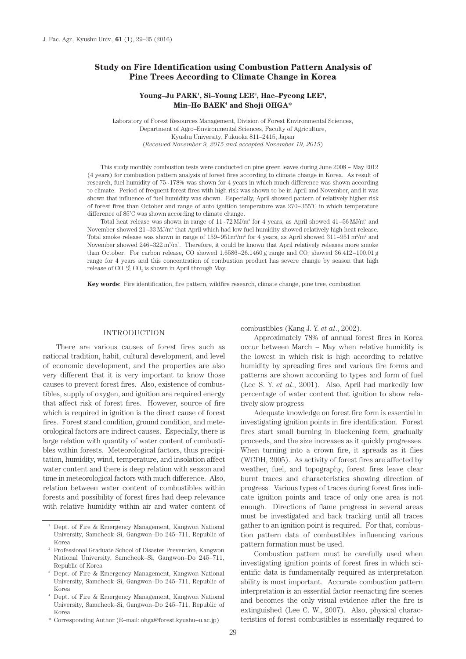# **Study on Fire Identification using Combustion Pattern Analysis of Pine Trees According to Climate Change in Korea**

## Young-Ju PARK<sup>1</sup>, Si-Young LEE<sup>2</sup>, Hae-Pyeong LEE<sup>3</sup>, **Min–Ho BAEK4 and Shoji OHGA\***

Laboratory of Forest Resources Management, Division of Forest Environmental Sciences, Department of Agro–Environmental Sciences, Faculty of Agriculture, Kyushu University, Fukuoka 811–2415, Japan (*Received November 9, 2015 and accepted November 19, 2015*)

This study monthly combustion tests were conducted on pine green leaves during June 2008 ~ May 2012 (4 years) for combustion pattern analysis of forest fires according to climate change in Korea. As result of research, fuel humidity of 75~178% was shown for 4 years in which much difference was shown according to climate. Period of frequent forest fires with high risk was shown to be in April and November, and it was shown that influence of fuel humidity was shown. Especially, April showed pattern of relatively higher risk of forest fires than October and range of auto ignition temperature was 270~355˚C in which temperature difference of 85˚C was shown according to climate change.

Total heat release was shown in range of  $11 - 72$  MJ/m<sup>2</sup> for 4 years, as April showed  $41 - 56$  MJ/m<sup>2</sup> and November showed  $21 \sim 33$  MJ/m<sup>2</sup> that April which had low fuel humidity showed relatively high heat release. Total smoke release was shown in range of  $159{\sim}951\mathrm{m}^2/\mathrm{m}^2$  for 4 years, as April showed  $311{\sim}951\mathrm{m}^2/\mathrm{m}^2$  and November showed  $246 \times 322$  m<sup>2</sup>/m<sup>2</sup>. Therefore, it could be known that April relatively releases more smoke than October. For carbon release, CO showed  $1.6586 \times 26.1460$  g range and CO<sub>2</sub> showed  $36.412 \times 100.01$  g range for 4 years and this concentration of combustion product has severe change by season that high release of CO  $\mathbb{R}$  CO<sub>2</sub> is shown in April through May.

**Key words**: Fire identification, fire pattern, wildfire research, climate change, pine tree, combustion

# INTRODUCTION

There are various causes of forest fires such as national tradition, habit, cultural development, and level of economic development, and the properties are also very different that it is very important to know those causes to prevent forest fires. Also, existence of combustibles, supply of oxygen, and ignition are required energy that affect risk of forest fires. However, source of fire which is required in ignition is the direct cause of forest fires. Forest stand condition, ground condition, and meteorological factors are indirect causes. Especially, there is large relation with quantity of water content of combustibles within forests. Meteorological factors, thus precipitation, humidity, wind, temperature, and insolation affect water content and there is deep relation with season and time in meteorological factors with much difference. Also, relation between water content of combustibles within forests and possibility of forest fires had deep relevance with relative humidity within air and water content of

combustibles (Kang J. Y. *et al*., 2002).

Approximately 78% of annual forest fires in Korea occur between March  $\sim$  May when relative humidity is the lowest in which risk is high according to relative humidity by spreading fires and various fire forms and patterns are shown according to types and form of fuel (Lee S. Y. *et al*., 2001). Also, April had markedly low percentage of water content that ignition to show relatively slow progress

Adequate knowledge on forest fire form is essential in investigating ignition points in fire identification. Forest fires start small burning in blackening form, gradually proceeds, and the size increases as it quickly progresses. When turning into a crown fire, it spreads as it flies (WCDH, 2005). As activity of forest fires are affected by weather, fuel, and topography, forest fires leave clear burnt traces and characteristics showing direction of progress. Various types of traces during forest fires indicate ignition points and trace of only one area is not enough. Directions of flame progress in several areas must be investigated and back tracking until all traces gather to an ignition point is required. For that, combustion pattern data of combustibles influencing various pattern formation must be used.

Combustion pattern must be carefully used when investigating ignition points of forest fires in which scientific data is fundamentally required as interpretation ability is most important. Accurate combustion pattern interpretation is an essential factor reenacting fire scenes and becomes the only visual evidence after the fire is extinguished (Lee C. W., 2007). Also, physical characteristics of forest combustibles is essentially required to

<sup>1</sup> Dept. of Fire & Emergency Management, Kangwon National University, Samcheok–Si, Gangwon–Do 245–711, Republic of Korea<br><sup>2</sup> Professional Graduate School of Disaster Prevention, Kangwon

National University, Samcheok–Si, Gangwon–Do 245–711, Republic of Korea

<sup>3</sup> Dept. of Fire & Emergency Management, Kangwon National University, Samcheok–Si, Gangwon–Do 245–711, Republic of

Korea<br>Dept. of Fire & Emergency Management, Kangwon National University, Samcheok–Si, Gangwon–Do 245–711, Republic of Korea

<sup>\*</sup> Corresponding Author (E–mail: ohga@forest.kyushu–u.ac.jp)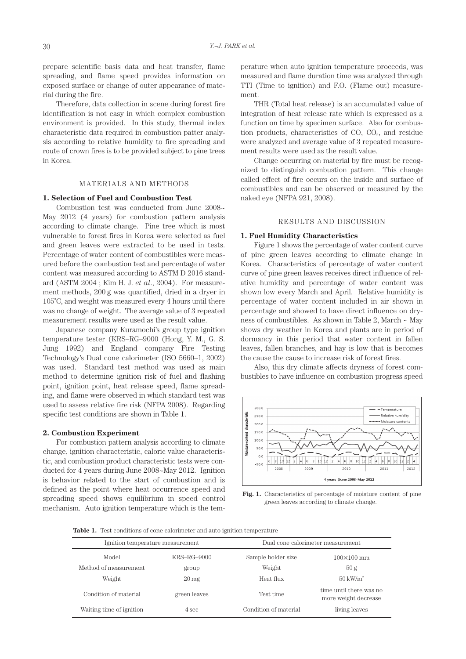prepare scientific basis data and heat transfer, flame spreading, and flame speed provides information on exposed surface or change of outer appearance of material during the fire.

Therefore, data collection in scene during forest fire identification is not easy in which complex combustion environment is provided. In this study, thermal index characteristic data required in combustion patter analysis according to relative humidity to fire spreading and route of crown fires is to be provided subject to pine trees in Korea.

## MATERIALS AND METHODS

## **1. Selection of Fuel and Combustion Test**

Combustion test was conducted from June 2008~ May 2012 (4 years) for combustion pattern analysis according to climate change. Pine tree which is most vulnerable to forest fires in Korea were selected as fuel and green leaves were extracted to be used in tests. Percentage of water content of combustibles were measured before the combustion test and percentage of water content was measured according to ASTM D 2016 standard (ASTM 2004 ; Kim H. J. *et al*., 2004). For measurement methods, 200 g was quantified, dried in a dryer in 105˚C, and weight was measured every 4 hours until there was no change of weight. The average value of 3 repeated measurement results were used as the result value.

Japanese company Kuramochi's group type ignition temperature tester (KRS–RG–9000 (Hong, Y. M., G. S. Jung 1992) and England company Fire Testing Technology's Dual cone calorimeter (ISO 5660–1, 2002) was used. Standard test method was used as main method to determine ignition risk of fuel and flashing point, ignition point, heat release speed, flame spreading, and flame were observed in which standard test was used to assess relative fire risk (NFPA 2008). Regarding specific test conditions are shown in Table 1.

### **2. Combustion Experiment**

For combustion pattern analysis according to climate change, ignition characteristic, caloric value characteristic, and combustion product characteristic tests were conducted for 4 years during June 2008~May 2012. Ignition is behavior related to the start of combustion and is defined as the point where heat occurrence speed and spreading speed shows equilibrium in speed control mechanism. Auto ignition temperature which is the temperature when auto ignition temperature proceeds, was measured and flame duration time was analyzed through TTI (Time to ignition) and F.O. (Flame out) measurement.

THR (Total heat release) is an accumulated value of integration of heat release rate which is expressed as a function on time by specimen surface. Also for combustion products, characteristics of  $CO$ ,  $CO<sub>2</sub>$ , and residue were analyzed and average value of 3 repeated measurement results were used as the result value.

Change occurring on material by fire must be recognized to distinguish combustion pattern. This change called effect of fire occurs on the inside and surface of combustibles and can be observed or measured by the naked eye (NFPA 921, 2008).

#### RESULTS AND DISCUSSION

## **1. Fuel Humidity Characteristics**

Figure 1 shows the percentage of water content curve of pine green leaves according to climate change in Korea. Characteristics of percentage of water content curve of pine green leaves receives direct influence of relative humidity and percentage of water content was shown low every March and April. Relative humidity is percentage of water content included in air shown in percentage and showed to have direct influence on dryness of combustibles. As shown in Table 2, March ~ May shows dry weather in Korea and plants are in period of dormancy in this period that water content in fallen leaves, fallen branches, and hay is low that is becomes the cause the cause to increase risk of forest fires.

Also, this dry climate affects dryness of forest combustibles to have influence on combustion progress speed



**Fig. 1.** Characteristics of percentage of moisture content of pine green leaves according to climate change.

**Table 1.** Test conditions of cone calorimeter and auto ignition temperature

| Ignition temperature measurement |                    | Dual cone calorimeter measurement |                                                 |  |
|----------------------------------|--------------------|-----------------------------------|-------------------------------------------------|--|
| Model                            | KRS–RG–9000        | Sample holder size                | $100\times100$ mm                               |  |
| Method of measurement            | group              | Weight                            | 50 g                                            |  |
| Weight                           | $20 \,\mathrm{mg}$ | Heat flux                         | $50 \text{ kW/m}^2$                             |  |
| Condition of material            | green leaves       | Test time                         | time until there was no<br>more weight decrease |  |
| Waiting time of ignition         | 4 sec              | Condition of material             | living leaves                                   |  |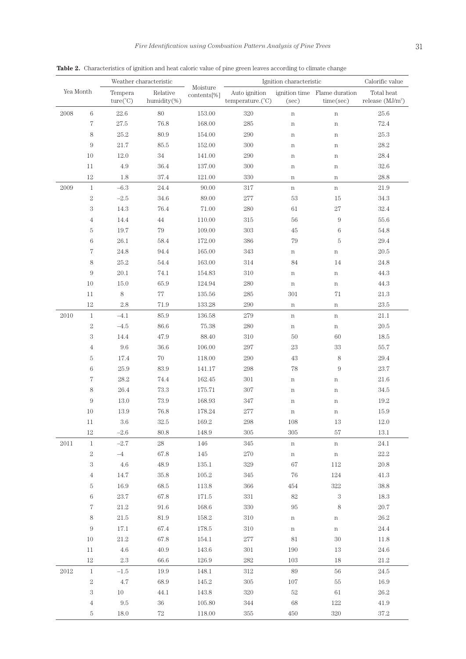|           |                  |                              | Weather characteristic  | Moisture    | Ignition characteristic<br>ignition time Flame duration |             | Calorific value  |                                  |
|-----------|------------------|------------------------------|-------------------------|-------------|---------------------------------------------------------|-------------|------------------|----------------------------------|
| Yea Month |                  | Tempera<br>$ture(^{\circ}C)$ | Relative<br>humidity(%) | contents[%] | Auto ignition<br>temperature.(°C)                       | (sec)       | time(sec)        | Total heat<br>release $(MJ/m^2)$ |
| 2008      | $\,6\,$          | 22.6                         | 80                      | 153.00      | 320                                                     | $\,$ n      | $\,$ n           | $25.6\,$                         |
|           | $\,7$            | $27.5\,$                     | 76.8                    | 168.00      | 285                                                     | $\,$ n      | $\,$ n           | $72.4\,$                         |
|           | $\,$ 8 $\,$      | 25.2                         | 80.9                    | 154.00      | 290                                                     | $\mathbf n$ | $\mathbf n$      | $25.3\,$                         |
|           | $\boldsymbol{9}$ | $21.7\,$                     | $85.5\,$                | 152.00      | 300                                                     | n           | $\mathbf n$      | $28.2\,$                         |
|           | 10               | 12.0                         | $34\,$                  | 141.00      | 290                                                     | $\mathbf n$ | $\mathbf n$      | $28.4\,$                         |
|           | 11               | 4.9                          | 36.4                    | 137.00      | 300                                                     | n           | $\,$ n           | $32.6\,$                         |
|           | 12               | 1.8                          | $37.4\,$                | 121.00      | 330                                                     | n           | $\,$ n           | 28.8                             |
| 2009      | $\mathbf{1}$     | $-6.3$                       | $24.4\,$                | 90.00       | $317\,$                                                 | $\mathbf n$ | $\mathbf n$      | 21.9                             |
|           | $\,2$            | $-2.5$                       | 34.6                    | 89.00       | $277\,$                                                 | $53\,$      | $15\,$           | $34.3\,$                         |
|           | $\,3$            | 14.3                         | 76.4                    | 71.00       | 280                                                     | $61\,$      | $27\,$           | $32.4\,$                         |
|           | $\,4\,$          | 14.4                         | $44\,$                  | 110.00      | $315\,$                                                 | 56          | $\boldsymbol{9}$ | $55.6\,$                         |
|           | $\rm 5$          | $19.7\,$                     | $79\,$                  | 109.00      | $303\,$                                                 | $45\,$      | $\,6\,$          | $54.8\,$                         |
|           | $\,6$            | $26.1\,$                     | 58.4                    | 172.00      | 386                                                     | 79          | $\rm 5$          | $29.4\,$                         |
|           | $\sqrt{7}$       | 24.8                         | 94.4                    | 165.00      | 343                                                     | n           | $\mathbf n$      | $20.5\,$                         |
|           | $\,$ 8 $\,$      | $25.2\,$                     | 54.4                    | 163.00      | 314                                                     | 84          | 14               | $24.8\,$                         |
|           | $\boldsymbol{9}$ | $20.1\,$                     | 74.1                    | 154.83      | $310\,$                                                 | $\mathbf n$ | $\,$ n           | $44.3\,$                         |
|           | 10               | 15.0                         | 65.9                    | 124.94      | 280                                                     | $\,$ n      | $\mathbf n$      | $44.3\,$                         |
|           | 11               | $\,$ 8 $\,$                  | $77\,$                  | 135.56      | 285                                                     | 301         | $71\,$           | $21.3\,$                         |
|           | 12               | $2.8\,$                      | 71.9                    | 133.28      | 290                                                     | $\mathbf n$ | $\,$ n           | $23.5\,$                         |
| 2010      | $\,1$            | $-4.1$                       | 85.9                    | 136.58      | 279                                                     | $\mathbf n$ | $\mathbf n$      | $21.1\,$                         |
|           | $\,2$            | $-4.5$                       | 86.6                    | 75.38       | 280                                                     | $\,$ n      | $\,$ n           | $20.5\,$                         |
|           | $\,3$            | 14.4                         | 47.9                    | 88.40       | $310\,$                                                 | $50\,$      | $60\,$           | $18.5\,$                         |
|           | $\,4\,$          | $9.6\,$                      | $36.6\,$                | 106.00      | $\rm 297$                                               | $23\,$      | $33\,$           | 55.7                             |
|           | $\rm 5$          | 17.4                         | 70                      | 118.00      | 290                                                     | $43\,$      | $\,8\,$          | $29.4\,$                         |
|           | $\,6$            | $25.9\,$                     | 83.9                    | 141.17      | 298                                                     | $78\,$      | $\boldsymbol{9}$ | $23.7\,$                         |
|           | $\overline{7}$   | 28.2                         | 74.4                    | 162.45      | 301                                                     | $\mathbf n$ | $\,$ n           | $21.6\,$                         |
|           | $8\,$            | 26.4                         | 73.3                    | 175.71      | 307                                                     | $\mathbf n$ | $\,$ n           | $34.5\,$                         |
|           | 9                | 13.0                         | 73.9                    | 168.93      | 347                                                     | n           | $\,$ n           | $19.2\,$                         |
|           | 10               | 13.9                         | $76.8\,$                | 178.24      | $277\,$                                                 | $\mathbf n$ | n                | 15.9                             |
|           | $11\,$           | $3.6\,$                      | $32.5\,$                | $169.2\,$   | 298                                                     | 108         | $13\,$           | $12.0\,$                         |
|           | 12               | $-2.6$                       | 80.8                    | 148.9       | 305                                                     | 305         | 57               | 13.1                             |
| $2011\,$  | $\,1\,$          | $-2.7$                       | $28\,$                  | 146         | 345                                                     | $\mathbf n$ | $\mathbf n$      | 24.1                             |
|           | $\,2$            | $-4\,$                       | 67.8                    | 145         | 270                                                     | $\mathbf n$ | $\mathbf n$      | $22.2\,$                         |
|           | $\,3$            | $4.6\,$                      | 48.9                    | 135.1       | $329\,$                                                 | $67\,$      | 112              | $20.8\,$                         |
|           | $\sqrt{4}$       | 14.7                         | $35.8\,$                | 105.2       | 345                                                     | 76          | 124              | 41.3                             |
|           | $\rm 5$          | 16.9                         | 68.5                    | 113.8       | 366                                                     | 454         | $322\,$          | $38.8\,$                         |
|           | $\,6\,$          | $23.7\,$                     | 67.8                    | 171.5       | 331                                                     | $82\,$      | $\,3$            | 18.3                             |
|           | $\,7$            | $21.2\,$                     | 91.6                    | 168.6       | 330                                                     | 95          | $\,8\,$          | $20.7\,$                         |
|           | $\,8\,$          | $21.5\,$                     | 81.9                    | 158.2       | 310                                                     | n           | $\mathbf n$      | 26.2                             |
|           | $\boldsymbol{9}$ | 17.1                         | 67.4                    | 178.5       | 310                                                     | n           | $\,$ n           | 24.4                             |
|           | $10\,$           | $21.2\,$                     | 67.8                    | 154.1       | $277\,$                                                 | 81          | $30\,$           | 11.8                             |
|           | 11               | $4.6\,$                      | 40.9                    | 143.6       | $301\,$                                                 | 190         | 13               | 24.6                             |
|           | $12\,$           | $2.3\,$                      | 66.6                    | 126.9       | 282                                                     | 103         | 18               | 21.2                             |
| 2012      | $\,1$            | $-1.5$                       | 19.9                    | 148.1       | 312                                                     | $89\,$      | $56\,$           | 24.5                             |
|           | $\,2$            | $4.7\,$                      | 68.9                    | 145.2       | $305\,$                                                 | $107\,$     | $55\,$           | 16.9                             |
|           | $\,3$            | $10\,$                       | 44.1                    | 143.8       | $320\,$                                                 | $52\,$      | $61\,$           | $26.2\,$                         |
|           | $\overline{4}$   | $\ \, 9.5$                   | $36\,$                  | 105.80      | 344                                                     | 68          | 122              | 41.9                             |

5 18.0 72 118.00 355 450 320 37.2

Table 2. Characteristics of ignition and heat caloric value of pine green leaves according to climate change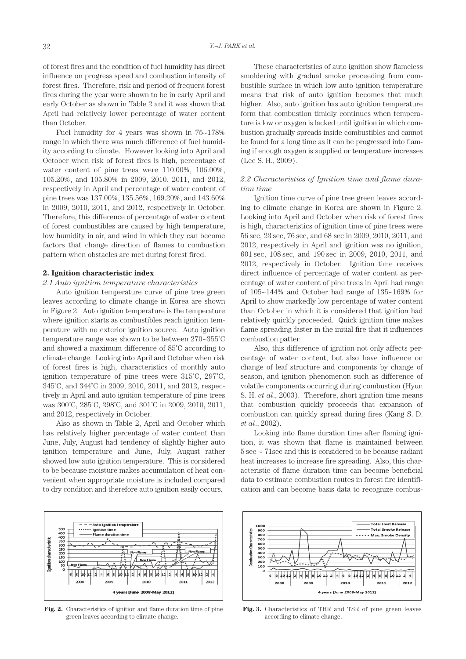of forest fires and the condition of fuel humidity has direct influence on progress speed and combustion intensity of forest fires. Therefore, risk and period of frequent forest fires during the year were shown to be in early April and early October as shown in Table 2 and it was shown that April had relatively lower percentage of water content than October.

Fuel humidity for 4 years was shown in 75~178% range in which there was much difference of fuel humidity according to climate. However looking into April and October when risk of forest fires is high, percentage of water content of pine trees were 110.00%, 106.00%, 105.20%, and 105.80% in 2009, 2010, 2011, and 2012, respectively in April and percentage of water content of pine trees was 137.00%, 135.56%, 169.20%, and 143.60% in 2009, 2010, 2011, and 2012, respectively in October. Therefore, this difference of percentage of water content of forest combustibles are caused by high temperature, low humidity in air, and wind in which they can become factors that change direction of flames to combustion pattern when obstacles are met during forest fired.

#### **2. Ignition characteristic index**

#### *2.1 Auto ignition temperature characteristics*

Auto ignition temperature curve of pine tree green leaves according to climate change in Korea are shown in Figure 2. Auto ignition temperature is the temperature where ignition starts as combustibles reach ignition temperature with no exterior ignition source. Auto ignition temperature range was shown to be between 270~355˚C and showed a maximum difference of 85˚C according to climate change. Looking into April and October when risk of forest fires is high, characteristics of monthly auto ignition temperature of pine trees were 315˚C, 297˚C, 345˚C, and 344˚C in 2009, 2010, 2011, and 2012, respectively in April and auto ignition temperature of pine trees was 300˚C, 285˚C, 298˚C, and 301˚C in 2009, 2010, 2011, and 2012, respectively in October.

Also as shown in Table 2, April and October which has relatively higher percentage of water content than June, July, August had tendency of slightly higher auto ignition temperature and June, July, August rather showed low auto ignition temperature. This is considered to be because moisture makes accumulation of heat convenient when appropriate moisture is included compared to dry condition and therefore auto ignition easily occurs.



**Fig. 2.** Characteristics of ignition and flame duration time of pine green leaves according to climate change.

These characteristics of auto ignition show flameless smoldering with gradual smoke proceeding from combustible surface in which low auto ignition temperature means that risk of auto ignition becomes that much higher. Also, auto ignition has auto ignition temperature form that combustion timidly continues when temperature is low or oxygen is lacked until ignition in which combustion gradually spreads inside combustibles and cannot be found for a long time as it can be progressed into flaming if enough oxygen is supplied or temperature increases (Lee S. H., 2009).

## *2.2 Characteristics of Ignition time and flame duration time*

Ignition time curve of pine tree green leaves according to climate change in Korea are shown in Figure 2. Looking into April and October when risk of forest fires is high, characteristics of ignition time of pine trees were 56 sec, 23 sec, 76 sec, and 68 sec in 2009, 2010, 2011, and 2012, respectively in April and ignition was no ignition, 601 sec, 108 sec, and 190 sec in 2009, 2010, 2011, and 2012, respectively in October. Ignition time receives direct influence of percentage of water content as percentage of water content of pine trees in April had range of 105~144% and October had range of 135~169% for April to show markedly low percentage of water content than October in which it is considered that ignition had relatively quickly proceeded. Quick ignition time makes flame spreading faster in the initial fire that it influences combustion patter.

Also, this difference of ignition not only affects percentage of water content, but also have influence on change of leaf structure and components by change of season, and ignition phenomenon such as difference of volatile components occurring during combustion (Hyun S. H. *et al*., 2003). Therefore, short ignition time means that combustion quickly proceeds that expansion of combustion can quickly spread during fires (Kang S. D. *et al*., 2002).

Looking into flame duration time after flaming ignition, it was shown that flame is maintained between 5 sec ~ 71sec and this is considered to be because radiant heat increases to increase fire spreading. Also, this characteristic of flame duration time can become beneficial data to estimate combustion routes in forest fire identification and can become basis data to recognize combus-



**Fig. 3.** Characteristics of THR and TSR of pine green leaves according to climate change.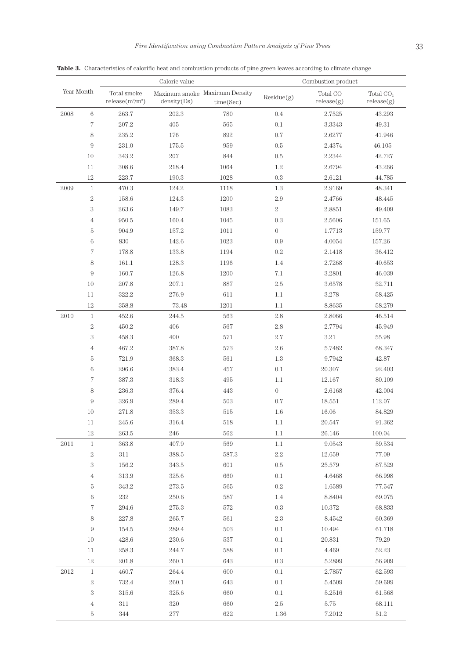Caloric value Combustion product

| I | ٩   |  |
|---|-----|--|
|   | e i |  |
| I |     |  |

Year Month Total smoke  $release(m^2/m^2)$ Maximum smoke Maximum Density<br>  $\begin{array}{ccc} \textrm{Total CO} & \textrm{Total CO} \\ \textrm{density}(\textrm{Ds}) & \textrm{time}(\textrm{Sec}) & \textrm{release}(g) \end{array}$ density(Ds) release(g) Total CO<sub>2</sub> release(g) 6 263.7 202.3 780 0.4 2.7525 43.293 207.2 405 565 0.1 3.3343 49.31 235.2 176 892 0.7 2.6277 41.946 231.0 175.5 959 0.5 2.4374 46.105 10 343.2 207 844 0.5 2.2344 42.727 308.6 218.4 1064 1.2 2.6794 43.266 223.7 190.3 1028 0.3 2.6121 44.785 1 470.3 124.2 1118 1.3 2.9169 48.341 2 158.6 124.3 1200 2.9 2.4766 48.445 263.6 149.7 1083 2 2.8851 49.409 4 950.5 160.4 1045 0.3 2.5606 151.65 904.9 157.2 1011 0 1.7713 159.77 830 142.6 1023 0.9 4.0054 157.26 178.8 133.8 1194 0.2 2.1418 36.412 8 161.1 128.3 1196 1.4 2.7268 40.653 160.7 126.8 1200 7.1 3.2801 46.039 10 207.8 207.1 887 2.5 3.6578 52.711 11 322.2 276.9 611 1.1 3.278 58.425 12 358.8 73.48 1201 1.1 8.8635 58.279 1 452.6 244.5 563 2.8 2.8066 46.514 2 450.2 406 567 2.8 2.7794 45.949 458.3 400 571 2.7 3.21 55.98 467.2 387.8 573 2.6 5.7482 68.347 721.9 368.3 561 1.3 9.7942 42.87 296.6 383.4 457 0.1 20.307 92.403 7 387.3 318.3 495 1.1 12.167 80.109 236.3 376.4 443 0 2.6168 42.004 326.9 289.4 503 0.7 18.551 112.07 10 271.8 353.3 515 1.6 16.06 84.829 245.6 316.4 518 1.1 20.547 91.362 12 263.5 246 562 1.1 26.146 100.04 1 363.8 407.9 569 1.1 9.0543 59.534 311 388.5 587.3 2.2 12.659 77.09 156.2 343.5 601 0.5 25.579 87.529 313.9 325.6 660 0.1 4.6468 66.998 343.2 273.5 565 0.2 1.6589 77.547 232 250.6 587 1.4 8.8404 69.075 294.6 275.3 572 0.3 10.372 68.833 227.8 265.7 561 2.3 8.4542 60.369 9 154.5 289.4 503 0.1 10.494 61.718 428.6 230.6 537 0.1 20.831 79.29 258.3 244.7 588 0.1 4.469 52.23 201.8 260.1 643 0.3 5.2899 56.909 1 460.7 264.4 600 0.1 2.7857 62.593 732.4 260.1 643 0.1 5.4509 59.699 315.6 325.6 660 0.1 5.2516 61.568 311 320 660 2.5 5.75 68.111

344 277 622 1.36 7.2012 51.2

**Table 3.** Characteristics of calorific heat and combustion products of pine green leaves according to climate change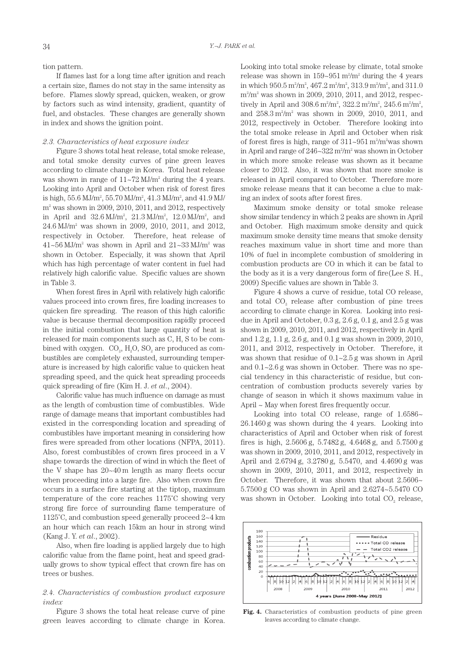tion pattern.

If flames last for a long time after ignition and reach a certain size, flames do not stay in the same intensity as before. Flames slowly spread, quicken, weaken, or grow by factors such as wind intensity, gradient, quantity of fuel, and obstacles. These changes are generally shown in index and shows the ignition point.

#### *2.3. Characteristics of heat exposure index*

Figure 3 shows total heat release, total smoke release, and total smoke density curves of pine green leaves according to climate change in Korea. Total heat release was shown in range of  $11 - 72$  MJ/m<sup>2</sup> during the 4 years. Looking into April and October when risk of forest fires is high,  $55.6 \,\mathrm{MJ/m^2}$ ,  $55.70 \,\mathrm{MJ/m^2}$ ,  $41.3 \,\mathrm{MJ/m^2}$ , and  $41.9 \,\mathrm{MJ/m^2}$ m2 was shown in 2009, 2010, 2011, and 2012, respectively in April and  $32.6 \text{ MJ/m}^2$ ,  $21.3 \text{ MJ/m}^2$ ,  $12.0 \text{ MJ/m}^2$ , and 24.6 MJ/m2 was shown in 2009, 2010, 2011, and 2012, respectively in October. Therefore, heat release of  $41\text{-}56 \text{ MJ/m}^2$  was shown in April and  $21\text{-}33 \text{ MJ/m}^2$  was shown in October. Especially, it was shown that April which has high percentage of water content in fuel had relatively high calorific value. Specific values are shown in Table 3.

When forest fires in April with relatively high calorific values proceed into crown fires, fire loading increases to quicken fire spreading. The reason of this high calorific value is because thermal decomposition rapidly proceed in the initial combustion that large quantity of heat is released for main components such as C, H, S to be combined with oxygen.  $CO<sub>2</sub>$ ,  $H<sub>2</sub>O$ ,  $SO<sub>2</sub>$  are produced as combustibles are completely exhausted, surrounding temperature is increased by high calorific value to quicken heat spreading speed, and the quick heat spreading proceeds quick spreading of fire (Kim H. J. *et al*., 2004).

Calorific value has much influence on damage as must as the length of combustion time of combustibles. Wide range of damage means that important combustibles had existed in the corresponding location and spreading of combustibles have important meaning in considering how fires were spreaded from other locations (NFPA, 2011). Also, forest combustibles of crown fires proceed in a V shape towards the direction of wind in which the fleet of the V shape has 20~40 m length as many fleets occur when proceeding into a large fire. Also when crown fire occurs in a surface fire starting at the tiptop, maximum temperature of the core reaches 1175˚C showing very strong fire force of surrounding flame temperature of 1125˚C, and combustion speed generally proceed 2~4 km an hour which can reach 15km an hour in strong wind (Kang J. Y. *et al*., 2002).

Also, when fire loading is applied largely due to high calorific value from the flame point, heat and speed gradually grows to show typical effect that crown fire has on trees or bushes.

# *2.4. Characteristics of combustion product exposure index*

Figure 3 shows the total heat release curve of pine green leaves according to climate change in Korea. Looking into total smoke release by climate, total smoke release was shown in  $159{\sim}951 \,\mathrm{m^2/m^2}$  during the 4 years in which  $950.5 \,\mathrm{m^2/m^2}$ ,  $467.2 \,\mathrm{m^2/m^2}$ ,  $313.9 \,\mathrm{m^2/m^2}$ , and  $311.0$ m2 /m2 was shown in 2009, 2010, 2011, and 2012, respectively in April and  $308.6 \,\mathrm{m^2/m^2}$ ,  $322.2 \,\mathrm{m^2/m^2}$ ,  $245.6 \,\mathrm{m^2/m^2}$ , and  $258.3 \text{ m}^2/\text{m}^2$  was shown in 2009, 2010, 2011, and 2012, respectively in October. Therefore looking into the total smoke release in April and October when risk of forest fires is high, range of  $311 \sim 951 \text{ m}^2/\text{m}^2$  was shown in April and range of 246~322 m2 /m2 was shown in October in which more smoke release was shown as it became closer to 2012. Also, it was shown that more smoke is released in April compared to October. Therefore more smoke release means that it can become a clue to making an index of soots after forest fires.

Maximum smoke density or total smoke release show similar tendency in which 2 peaks are shown in April and October. High maximum smoke density and quick maximum smoke density time means that smoke density reaches maximum value in short time and more than 10% of fuel in incomplete combustion of smoldering in combustion products are CO in which it can be fatal to the body as it is a very dangerous form of fire(Lee S. H., 2009) Specific values are shown in Table 3.

Figure 4 shows a curve of residue, total CO release, and total  $CO<sub>2</sub>$  release after combustion of pine trees according to climate change in Korea. Looking into residue in April and October, 0.3 g, 2.6 g, 0.1 g, and 2.5 g was shown in 2009, 2010, 2011, and 2012, respectively in April and 1.2 g, 1.1 g, 2.6 g, and 0.1 g was shown in 2009, 2010, 2011, and 2012, respectively in October. Therefore, it was shown that residue of 0.1~2.5 g was shown in April and 0.1~2.6 g was shown in October. There was no special tendency in this characteristic of residue, but concentration of combustion products severely varies by change of season in which it shows maximum value in April ~ May when forest fires frequently occur.

Looking into total CO release, range of  $1.6586\text{-}$ 26.1460 g was shown during the 4 years. Looking into characteristics of April and October when risk of forest fires is high, 2.5606 g, 5.7482 g, 4.6468 g, and 5.7500 g was shown in 2009, 2010, 2011, and 2012, respectively in April and 2.6794 g, 3.2780 g, 5.5470, and 4.4690 g was shown in 2009, 2010, 2011, and 2012, respectively in October. Therefore, it was shown that about 2.5606~ 5.7500 g CO was shown in April and 2.6274~5.5470 CO was shown in October. Looking into total CO<sub>2</sub> release,



**Fig. 4.** Characteristics of combustion products of pine green leaves according to climate change.